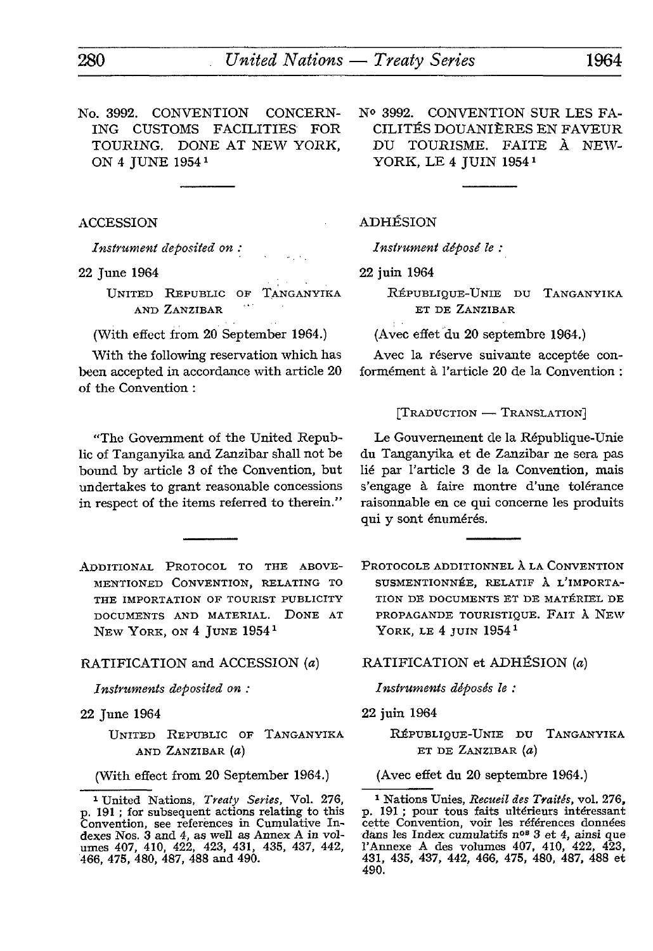No. 3992. CONVENTION CONCERN ING CUSTOMS FACILITIES FOR TOURING. DONE AT NEW YORK, ON 4 JUNE 1954 <sup>1</sup>

ACCESSION

*Instrument deposited on :*

22 June 1964

UNITED REPUBLIC OF TANGANYIKA AND ZANZIBAR

(With effect from 20 September 1964.)

With the following reservation which has been accepted in accordance with article 20 of the Convention :

"The Government of the United Repub lic of Tanganyika and Zanzibar shall not be bound by article 3 of the Convention, but undertakes to grant reasonable concessions in respect of the items referred to therein."

ADDITIONAL PROTOCOL TO THE ABOVE-MENTIONED CONVENTION, RELATING TO THE IMPORTATION OF TOURIST PUBLICITY DOCUMENTS AND MATERIAL. DONE AT NEW YORK, ON 4 JUNE 1954<sup>1</sup>

# RATIFICATION and ACCESSION (a) RATIFICATION et ADHÉSION *(a)*

*Instruments deposited on :*

22 June 1964

UNITED REPUBLIC OF TANGANYIKA AND ZANZIBAR *(a)*

(With effect from 20 September 1964.)

Nº 3992. CONVENTION SUR LES FA-CILITÉS DOUANIÈRES EN FAVEUR DU TOURISME. FAITE À NEW-YORK, LE 4 JUIN 19541

# ADHÉSION

*Instrument déposé le :*

22 juin 1964

RÉPUBLIQUE-UNIE DU TANGANYIKA ET DE ZANZIBAR

(Avec effet du 20 septembre 1964.)

Avec la réserve suivante acceptée con formément à l'article 20 de la Convention :

[TRADUCTION — TRANSLATION]

Le Gouvernement de la République-Unie du Tanganyika et de Zanzibar ne sera pas lié par l'article 3 de la Convention, mais s'engage à faire montre d'une tolérance raisonnable en ce qui concerne les produits qui y sont énumérés.

PROTOCOLE ADDITIONNEL À LA CONVENTION SUSMENTIONNÉE, RELATIF À L'iMPORTA-TION DE DOCUMENTS ET DE MATÉRIEL DE PROPAGANDE TOURISTIQUE. FAIT À NEW YORK, LE 4 JUIN 1954<sup>1</sup>

*Instruments déposés le :*

22 juin 1964

RÉPUBLIQUE-UNIE DU TANGANYIKA ET DE ZANZIBAR *(a)*

(Avec effet du 20 septembre 1964.)

1 Nations Unies, *Recueil des Traités,* vol. 276, p. 191 ; pour tous faits ultérieurs intéressant cette Convention, voir les références données dans les Index cumulatifs n°<sup>8</sup> 3 et 4, ainsi que l'Annexe A des volumes 407, 410, 422, 423, 431, 435, 437, 442, 466, 475, 480, 487, 488 et 490.

<sup>1</sup> United Nations, *Treaty Series,* Vol. 276, p. 191 ; for subsequent actions relating to this Convention, see references in Cumulative In dexes Nos. 3 and 4, as well as Annex A in vol umes 407, 410, 422, 423, 431, 435, 437, 442, 466, 475, 480, 487, 488 and 490.